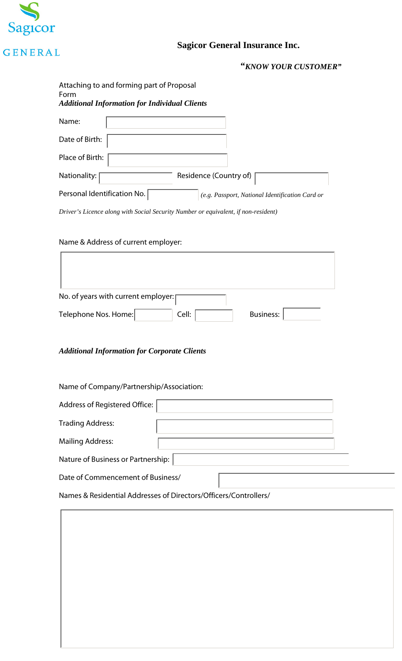

# **Sagicor General Insurance Inc.**

"KNOW YOUR CUSTOMER"

| Attaching to and forming part of Proposal<br>Form<br><b>Additional Information for Individual Clients</b> |                                                 |
|-----------------------------------------------------------------------------------------------------------|-------------------------------------------------|
| Name:                                                                                                     |                                                 |
| Date of Birth:                                                                                            |                                                 |
| Place of Birth:                                                                                           |                                                 |
| Nationality:                                                                                              | Residence (Country of)                          |
| Personal Identification No.                                                                               | (e.g. Passport, National Identification Card or |

Driver's Licence along with Social Security Number or equivalent, if non-resident)

## Name & Address of current employer:

 $\mathsf{r}$ 

| No. of years with current employer: |                  |
|-------------------------------------|------------------|
| Telephone Nos. Home:<br>Cell:       | <b>Business:</b> |

### **Additional Information for Corporate Clients**

Name of Company/Partnership/Association:

| Address of Registered Office:                                    |  |
|------------------------------------------------------------------|--|
| <b>Trading Address:</b>                                          |  |
| <b>Mailing Address:</b>                                          |  |
| Nature of Business or Partnership:                               |  |
| Date of Commencement of Business/                                |  |
| Names & Residential Addresses of Directors/Officers/Controllers/ |  |